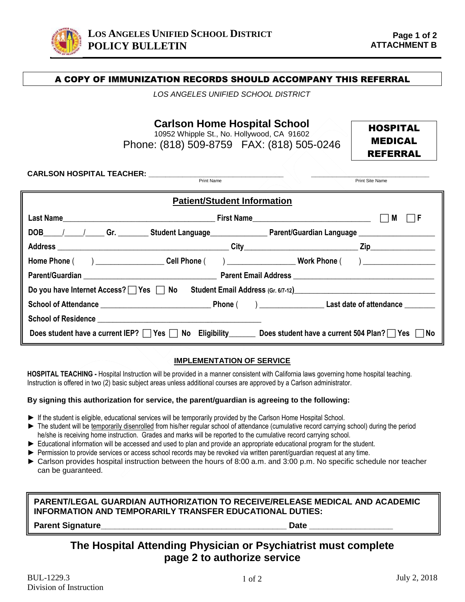

### A COPY OF IMMUNIZATION RECORDS SHOULD ACCOMPANY THIS REFERRAL

*LOS ANGELES UNIFIED SCHOOL DISTRICT*

**Carlson Home Hospital School** 

10952 Whipple St., No. Hollywood, CA 91602 Phone: (818) 509-8759 FAX: (818) 505-0246

HOSPITAL MEDICAL REFERRAL

Print Site Name

**CARLSON HOSPITAL TEACHER: \_\_\_\_\_\_\_\_\_\_\_\_\_\_\_\_\_\_\_\_\_\_\_\_\_\_\_\_\_\_\_\_ \_\_\_\_\_\_\_\_\_\_\_\_\_\_\_\_\_\_\_\_\_\_\_\_\_\_\_\_** 

| <b>Patient/Student Information</b>                                                                                  |  |               |  |
|---------------------------------------------------------------------------------------------------------------------|--|---------------|--|
|                                                                                                                     |  | $\Box$ F<br>M |  |
| DOB_____/______/______Gr. __________Student Language___________________Parent/Guardian Language ___________________ |  |               |  |
|                                                                                                                     |  |               |  |
| Home Phone ( ) ________________________Cell Phone ( ) ___________________________ Work Phone ( ) _____________      |  |               |  |
|                                                                                                                     |  |               |  |
| Do you have Internet Access?   Yes   No Student Email Address (Gr. 6/7-12) <u>  Noutine Student Email</u>           |  |               |  |
|                                                                                                                     |  |               |  |
|                                                                                                                     |  |               |  |
| Does student have a current IEP? Yes No Eligibility Does student have a current 504 Plan? Yes No                    |  |               |  |

#### **IMPLEMENTATION OF SERVICE**

**HOSPITAL TEACHING -** Hospital Instruction will be provided in a manner consistent with California laws governing home hospital teaching. Instruction is offered in two (2) basic subject areas unless additional courses are approved by a Carlson administrator.

#### **By signing this authorization for service, the parent/guardian is agreeing to the following:**

- ► If the student is eligible, educational services will be temporarily provided by the Carlson Home Hospital School.
- ► The student will be temporarily disenrolled from his/her regular school of attendance (cumulative record carrying school) during the period he/she is receiving home instruction. Grades and marks will be reported to the cumulative record carrying school.
- ► Educational information will be accessed and used to plan and provide an appropriate educational program for the student.
- ► Permission to provide services or access school records may be revoked via written parent/guardian request at any time.
- ► Carlson provides hospital instruction between the hours of 8:00 a.m. and 3:00 p.m. No specific schedule nor teacher can be guaranteed.

**PARENT/LEGAL GUARDIAN AUTHORIZATION TO RECEIVE/RELEASE MEDICAL AND ACADEMIC INFORMATION AND TEMPORARILY TRANSFER EDUCATIONAL DUTIES:**

**Parent Signature** 

# **The Hospital Attending Physician or Psychiatrist must complete page 2 to authorize service**